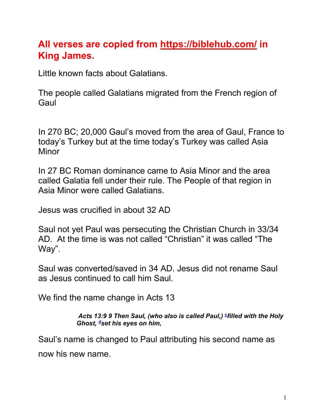# **All verses are copied from https://biblehub.com/ in King James.**

Little known facts about Galatians.

The people called Galatians migrated from the French region of **Gaul** 

In 270 BC; 20,000 Gaul's moved from the area of Gaul, France to today's Turkey but at the time today's Turkey was called Asia **Minor** 

In 27 BC Roman dominance came to Asia Minor and the area called Galatia fell under their rule. The People of that region in Asia Minor were called Galatians.

Jesus was crucified in about 32 AD

Saul not yet Paul was persecuting the Christian Church in 33/34 AD. At the time is was not called "Christian" it was called "The Way".

Saul was converted/saved in 34 AD. Jesus did not rename Saul as Jesus continued to call him Saul.

We find the name change in Acts 13

Acts 13:9 9 Then Saul, (who also is called Paul,) <sup>efilled</sup> with the Holy *Ghost, dset his eyes on him,* 

Saul's name is changed to Paul attributing his second name as now his new name.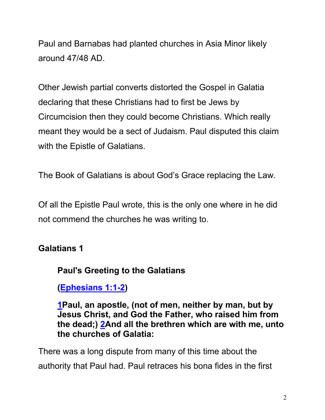Paul and Barnabas had planted churches in Asia Minor likely around 47/48 AD.

Other Jewish partial converts distorted the Gospel in Galatia declaring that these Christians had to first be Jews by Circumcision then they could become Christians. Which really meant they would be a sect of Judaism. Paul disputed this claim with the Epistle of Galatians.

The Book of Galatians is about God's Grace replacing the Law.

Of all the Epistle Paul wrote, this is the only one where in he did not commend the churches he was writing to.

**Galatians 1**

## **Paul's Greeting to the Galatians**

**(Ephesians 1:1-2)**

**1Paul, an apostle, (not of men, neither by man, but by Jesus Christ, and God the Father, who raised him from the dead;) 2And all the brethren which are with me, unto the churches of Galatia:**

There was a long dispute from many of this time about the authority that Paul had. Paul retraces his bona fides in the first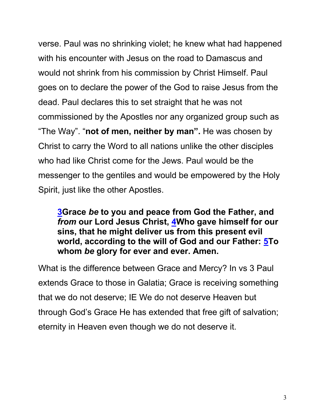verse. Paul was no shrinking violet; he knew what had happened with his encounter with Jesus on the road to Damascus and would not shrink from his commission by Christ Himself. Paul goes on to declare the power of the God to raise Jesus from the dead. Paul declares this to set straight that he was not commissioned by the Apostles nor any organized group such as "The Way". "**not of men, neither by man".** He was chosen by Christ to carry the Word to all nations unlike the other disciples who had like Christ come for the Jews. Paul would be the messenger to the gentiles and would be empowered by the Holy Spirit, just like the other Apostles.

**3Grace** *be* **to you and peace from God the Father, and**  *from* **our Lord Jesus Christ, 4Who gave himself for our sins, that he might deliver us from this present evil world, according to the will of God and our Father: 5To whom** *be* **glory for ever and ever. Amen.**

What is the difference between Grace and Mercy? In vs 3 Paul extends Grace to those in Galatia; Grace is receiving something that we do not deserve; IE We do not deserve Heaven but through God's Grace He has extended that free gift of salvation; eternity in Heaven even though we do not deserve it.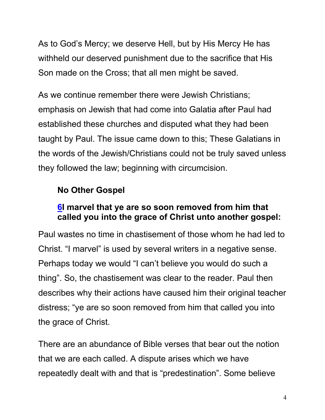As to God's Mercy; we deserve Hell, but by His Mercy He has withheld our deserved punishment due to the sacrifice that His Son made on the Cross; that all men might be saved.

As we continue remember there were Jewish Christians; emphasis on Jewish that had come into Galatia after Paul had established these churches and disputed what they had been taught by Paul. The issue came down to this; These Galatians in the words of the Jewish/Christians could not be truly saved unless they followed the law; beginning with circumcision.

## **No Other Gospel**

## **6I marvel that ye are so soon removed from him that called you into the grace of Christ unto another gospel:**

Paul wastes no time in chastisement of those whom he had led to Christ. "I marvel" is used by several writers in a negative sense. Perhaps today we would "I can't believe you would do such a thing". So, the chastisement was clear to the reader. Paul then describes why their actions have caused him their original teacher distress; "ye are so soon removed from him that called you into the grace of Christ.

There are an abundance of Bible verses that bear out the notion that we are each called. A dispute arises which we have repeatedly dealt with and that is "predestination". Some believe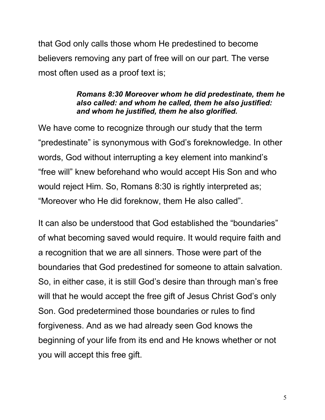that God only calls those whom He predestined to become believers removing any part of free will on our part. The verse most often used as a proof text is;

#### *Romans 8:30 Moreover whom he did predestinate, them he also called: and whom he called, them he also justified: and whom he justified, them he also glorified.*

We have come to recognize through our study that the term "predestinate" is synonymous with God's foreknowledge. In other words, God without interrupting a key element into mankind's "free will" knew beforehand who would accept His Son and who would reject Him. So, Romans 8:30 is rightly interpreted as; "Moreover who He did foreknow, them He also called".

It can also be understood that God established the "boundaries" of what becoming saved would require. It would require faith and a recognition that we are all sinners. Those were part of the boundaries that God predestined for someone to attain salvation. So, in either case, it is still God's desire than through man's free will that he would accept the free gift of Jesus Christ God's only Son. God predetermined those boundaries or rules to find forgiveness. And as we had already seen God knows the beginning of your life from its end and He knows whether or not you will accept this free gift.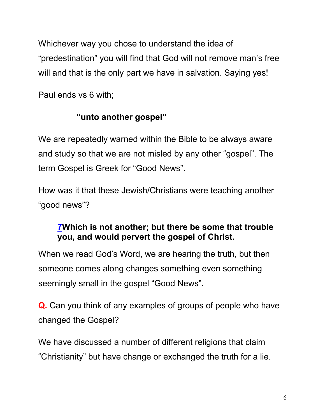Whichever way you chose to understand the idea of "predestination" you will find that God will not remove man's free will and that is the only part we have in salvation. Saying yes!

Paul ends vs 6 with;

## **"unto another gospel"**

We are repeatedly warned within the Bible to be always aware and study so that we are not misled by any other "gospel". The term Gospel is Greek for "Good News".

How was it that these Jewish/Christians were teaching another "good news"?

## **7Which is not another; but there be some that trouble you, and would pervert the gospel of Christ.**

When we read God's Word, we are hearing the truth, but then someone comes along changes something even something seemingly small in the gospel "Good News".

**Q.** Can you think of any examples of groups of people who have changed the Gospel?

We have discussed a number of different religions that claim "Christianity" but have change or exchanged the truth for a lie.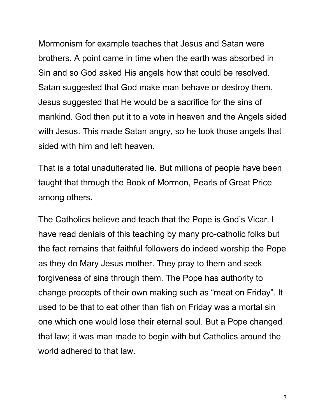Mormonism for example teaches that Jesus and Satan were brothers. A point came in time when the earth was absorbed in Sin and so God asked His angels how that could be resolved. Satan suggested that God make man behave or destroy them. Jesus suggested that He would be a sacrifice for the sins of mankind. God then put it to a vote in heaven and the Angels sided with Jesus. This made Satan angry, so he took those angels that sided with him and left heaven.

That is a total unadulterated lie. But millions of people have been taught that through the Book of Mormon, Pearls of Great Price among others.

The Catholics believe and teach that the Pope is God's Vicar. I have read denials of this teaching by many pro-catholic folks but the fact remains that faithful followers do indeed worship the Pope as they do Mary Jesus mother. They pray to them and seek forgiveness of sins through them. The Pope has authority to change precepts of their own making such as "meat on Friday". It used to be that to eat other than fish on Friday was a mortal sin one which one would lose their eternal soul. But a Pope changed that law; it was man made to begin with but Catholics around the world adhered to that law.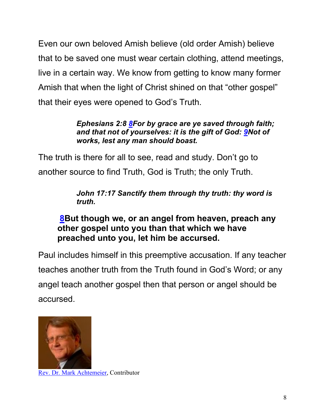Even our own beloved Amish believe (old order Amish) believe that to be saved one must wear certain clothing, attend meetings, live in a certain way. We know from getting to know many former Amish that when the light of Christ shined on that "other gospel" that their eyes were opened to God's Truth.

#### *Ephesians 2:8 8For by grace are ye saved through faith; and that not of yourselves: it is the gift of God: 9Not of works, lest any man should boast.*

The truth is there for all to see, read and study. Don't go to another source to find Truth, God is Truth; the only Truth.

> *John 17:17 Sanctify them through thy truth: thy word is truth.*

#### **8But though we, or an angel from heaven, preach any other gospel unto you than that which we have preached unto you, let him be accursed.**

Paul includes himself in this preemptive accusation. If any teacher teaches another truth from the Truth found in God's Word; or any angel teach another gospel then that person or angel should be accursed.



Rev. Dr. Mark Achtemeier, Contributor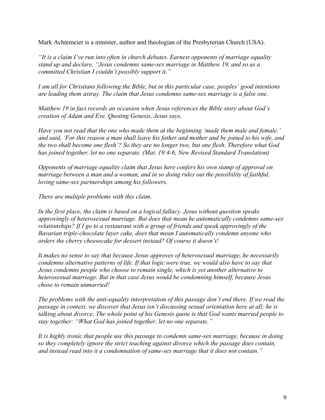Mark Achtemeier is a minister, author and theologian of the Presbyterian Church (USA).

*"It is a claim I've run into often in church debates. Earnest opponents of marriage equality stand up and declare, "Jesus condemns same-sex marriage in Matthew 19, and so as a committed Christian I couldn't possibly support it."*

*I am all for Christians following the Bible, but in this particular case, peoples' good intentions are leading them astray. The claim that Jesus condemns same-sex marriage is a false one.*

*Matthew 19 in fact records an occasion when Jesus references the Bible story about God's creation of Adam and Eve. Quoting Genesis, Jesus says,*

*Have you not read that the one who made them at the beginning 'made them male and female,' and said, 'For this reason a man shall leave his father and mother and be joined to his wife, and the two shall become one flesh'? So they are no longer two, but one flesh. Therefore what God has joined together, let no one separate. (Mat. 19:4-6, New Revised Standard Translation)*

*Opponents of marriage equality claim that Jesus here confers his own stamp of approval on marriage between a man and a woman, and in so doing rules out the possibility of faithful, loving same-sex partnerships among his followers.* 

*There are multiple problems with this claim.* 

*In the first place, the claim is based on a logical fallacy. Jesus without question speaks approvingly of heterosexual marriage. But does that mean he automatically condemns same-sex relationships? If I go to a restaurant with a group of friends and speak approvingly of the Bavarian triple-chocolate layer cake, does that mean I automatically condemn anyone who orders the cherry cheesecake for dessert instead? Of course it doesn't!* 

*It makes no sense to say that because Jesus approves of heterosexual marriage, he necessarily condemns alternative patterns of life. If that logic were true, we would also have to say that Jesus condemns people who choose to remain single, which is yet another alternative to heterosexual marriage. But in that case Jesus would be condemning himself, because Jesus chose to remain unmarried!*

*The problems with the anti-equality interpretation of this passage don't end there. If we read the passage in context, we discover that Jesus isn't discussing sexual orientation here at all; he is talking about divorce. The whole point of his Genesis quote is that God wants married people to stay together: "What God has joined together, let no one separate."*

*It is highly ironic that people use this passage to condemn same-sex marriage, because in doing so they completely ignore the strict teaching against divorce which the passage does contain, and instead read into it a condemnation of same-sex marriage that it does not contain."*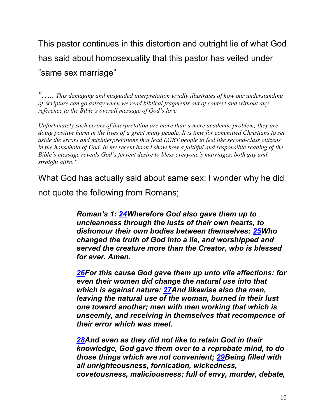This pastor continues in this distortion and outright lie of what God has said about homosexuality that this pastor has veiled under "same sex marriage"

*"….. This damaging and misguided interpretation vividly illustrates of how our understanding of Scripture can go astray when we read biblical fragments out of context and without any reference to the Bible's overall message of God's love.* 

*Unfortunately such errors of interpretation are more than a mere academic problem; they are doing positive harm in the lives of a great many people. It is time for committed Christians to set aside the errors and misinterpretations that lead LGBT people to feel like second-class citizens in the household of God. In my recent book I show how a faithful and responsible reading of the Bible's message reveals God's fervent desire to bless everyone's marriages, both gay and straight alike."*

What God has actually said about same sex; I wonder why he did not quote the following from Romans;

> *Roman's 1: 24Wherefore God also gave them up to uncleanness through the lusts of their own hearts, to dishonour their own bodies between themselves: 25Who changed the truth of God into a lie, and worshipped and served the creature more than the Creator, who is blessed for ever. Amen.*

*26For this cause God gave them up unto vile affections: for even their women did change the natural use into that which is against nature: 27And likewise also the men, leaving the natural use of the woman, burned in their lust one toward another; men with men working that which is unseemly, and receiving in themselves that recompence of their error which was meet.*

*28And even as they did not like to retain God in their knowledge, God gave them over to a reprobate mind, to do those things which are not convenient; 29Being filled with all unrighteousness, fornication, wickedness, covetousness, maliciousness; full of envy, murder, debate,*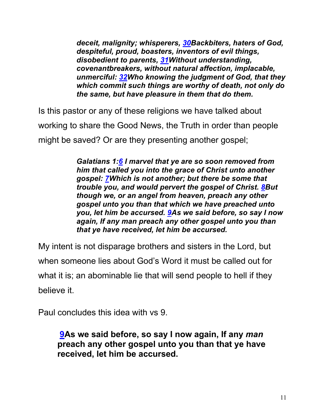*deceit, malignity; whisperers, 30Backbiters, haters of God, despiteful, proud, boasters, inventors of evil things, disobedient to parents, 31Without understanding, covenantbreakers, without natural affection, implacable, unmerciful: 32Who knowing the judgment of God, that they which commit such things are worthy of death, not only do the same, but have pleasure in them that do them.*

Is this pastor or any of these religions we have talked about working to share the Good News, the Truth in order than people

might be saved? Or are they presenting another gospel;

*Galatians 1:6 I marvel that ye are so soon removed from him that called you into the grace of Christ unto another gospel: 7Which is not another; but there be some that trouble you, and would pervert the gospel of Christ. 8But though we, or an angel from heaven, preach any other gospel unto you than that which we have preached unto you, let him be accursed. 9As we said before, so say I now again, If any man preach any other gospel unto you than that ye have received, let him be accursed.*

My intent is not disparage brothers and sisters in the Lord, but when someone lies about God's Word it must be called out for what it is; an abominable lie that will send people to hell if they believe it.

Paul concludes this idea with vs 9.

**9As we said before, so say I now again, If any** *man* **preach any other gospel unto you than that ye have received, let him be accursed.**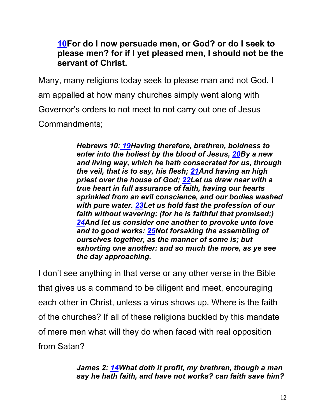#### **10For do I now persuade men, or God? or do I seek to please men? for if I yet pleased men, I should not be the servant of Christ.**

Many, many religions today seek to please man and not God. I am appalled at how many churches simply went along with Governor's orders to not meet to not carry out one of Jesus Commandments;

> *Hebrews 10: 19Having therefore, brethren, boldness to enter into the holiest by the blood of Jesus, 20By a new and living way, which he hath consecrated for us, through the veil, that is to say, his flesh; 21And having an high priest over the house of God; 22Let us draw near with a true heart in full assurance of faith, having our hearts sprinkled from an evil conscience, and our bodies washed with pure water. 23Let us hold fast the profession of our faith without wavering; (for he is faithful that promised;) 24And let us consider one another to provoke unto love and to good works: 25Not forsaking the assembling of ourselves together, as the manner of some is; but exhorting one another: and so much the more, as ye see the day approaching.*

I don't see anything in that verse or any other verse in the Bible that gives us a command to be diligent and meet, encouraging each other in Christ, unless a virus shows up. Where is the faith of the churches? If all of these religions buckled by this mandate of mere men what will they do when faced with real opposition from Satan?

#### *James 2: 14What doth it profit, my brethren, though a man say he hath faith, and have not works? can faith save him?*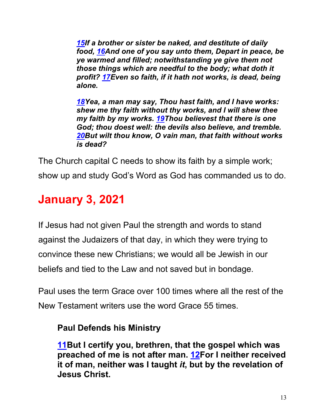*15If a brother or sister be naked, and destitute of daily food, 16And one of you say unto them, Depart in peace, be ye warmed and filled; notwithstanding ye give them not those things which are needful to the body; what doth it profit? 17Even so faith, if it hath not works, is dead, being alone.*

*18Yea, a man may say, Thou hast faith, and I have works: shew me thy faith without thy works, and I will shew thee my faith by my works. 19Thou believest that there is one God; thou doest well: the devils also believe, and tremble. 20But wilt thou know, O vain man, that faith without works is dead?* 

The Church capital C needs to show its faith by a simple work; show up and study God's Word as God has commanded us to do.

# **January 3, 2021**

If Jesus had not given Paul the strength and words to stand against the Judaizers of that day, in which they were trying to convince these new Christians; we would all be Jewish in our beliefs and tied to the Law and not saved but in bondage.

Paul uses the term Grace over 100 times where all the rest of the New Testament writers use the word Grace 55 times.

#### **Paul Defends his Ministry**

**11But I certify you, brethren, that the gospel which was preached of me is not after man. 12For I neither received it of man, neither was I taught** *it***, but by the revelation of Jesus Christ.**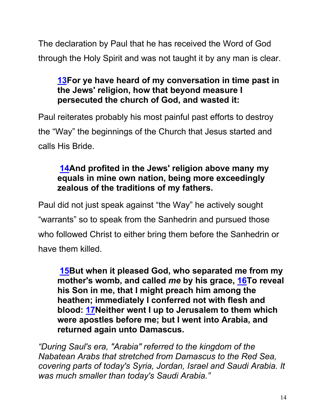The declaration by Paul that he has received the Word of God through the Holy Spirit and was not taught it by any man is clear.

## **13For ye have heard of my conversation in time past in the Jews' religion, how that beyond measure I persecuted the church of God, and wasted it:**

Paul reiterates probably his most painful past efforts to destroy the "Way" the beginnings of the Church that Jesus started and calls His Bride.

## **14And profited in the Jews' religion above many my equals in mine own nation, being more exceedingly zealous of the traditions of my fathers.**

Paul did not just speak against "the Way" he actively sought "warrants" so to speak from the Sanhedrin and pursued those who followed Christ to either bring them before the Sanhedrin or have them killed.

**15But when it pleased God, who separated me from my mother's womb, and called** *me* **by his grace, 16To reveal his Son in me, that I might preach him among the heathen; immediately I conferred not with flesh and blood: 17Neither went I up to Jerusalem to them which were apostles before me; but I went into Arabia, and returned again unto Damascus.**

*"During Saul's era, "Arabia" referred to the kingdom of the Nabatean Arabs that stretched from Damascus to the Red Sea, covering parts of today's Syria, Jordan, Israel and Saudi Arabia. It was much smaller than today's Saudi Arabia."*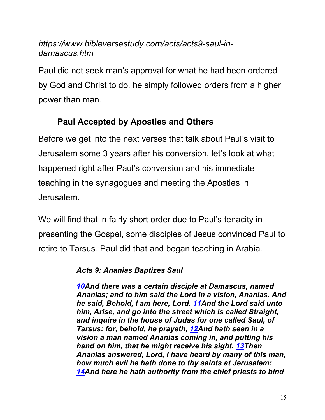## *https://www.bibleversestudy.com/acts/acts9-saul-indamascus.htm*

Paul did not seek man's approval for what he had been ordered by God and Christ to do, he simply followed orders from a higher power than man.

# **Paul Accepted by Apostles and Others**

Before we get into the next verses that talk about Paul's visit to Jerusalem some 3 years after his conversion, let's look at what happened right after Paul's conversion and his immediate teaching in the synagogues and meeting the Apostles in Jerusalem.

We will find that in fairly short order due to Paul's tenacity in presenting the Gospel, some disciples of Jesus convinced Paul to retire to Tarsus. Paul did that and began teaching in Arabia.

#### *Acts 9: Ananias Baptizes Saul*

*10And there was a certain disciple at Damascus, named Ananias; and to him said the Lord in a vision, Ananias. And he said, Behold, I am here, Lord. 11And the Lord said unto him, Arise, and go into the street which is called Straight, and inquire in the house of Judas for one called Saul, of Tarsus: for, behold, he prayeth, 12And hath seen in a vision a man named Ananias coming in, and putting his hand on him, that he might receive his sight. 13Then Ananias answered, Lord, I have heard by many of this man, how much evil he hath done to thy saints at Jerusalem: 14And here he hath authority from the chief priests to bind*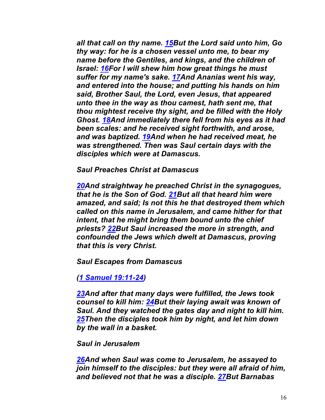*all that call on thy name. 15But the Lord said unto him, Go thy way: for he is a chosen vessel unto me, to bear my name before the Gentiles, and kings, and the children of Israel: 16For I will shew him how great things he must suffer for my name's sake. 17And Ananias went his way, and entered into the house; and putting his hands on him said, Brother Saul, the Lord, even Jesus, that appeared unto thee in the way as thou camest, hath sent me, that thou mightest receive thy sight, and be filled with the Holy Ghost. 18And immediately there fell from his eyes as it had been scales: and he received sight forthwith, and arose, and was baptized. 19And when he had received meat, he was strengthened. Then was Saul certain days with the disciples which were at Damascus.*

*Saul Preaches Christ at Damascus*

*20And straightway he preached Christ in the synagogues, that he is the Son of God. 21But all that heard him were amazed, and said; Is not this he that destroyed them which called on this name in Jerusalem, and came hither for that intent, that he might bring them bound unto the chief priests? 22But Saul increased the more in strength, and confounded the Jews which dwelt at Damascus, proving that this is very Christ.*

*Saul Escapes from Damascus*

*(1 Samuel 19:11-24)*

*23And after that many days were fulfilled, the Jews took counsel to kill him: 24But their laying await was known of Saul. And they watched the gates day and night to kill him. 25Then the disciples took him by night, and let him down by the wall in a basket.*

*Saul in Jerusalem*

*26And when Saul was come to Jerusalem, he assayed to join himself to the disciples: but they were all afraid of him, and believed not that he was a disciple. 27But Barnabas*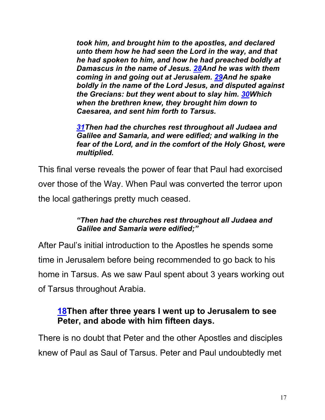*took him, and brought him to the apostles, and declared unto them how he had seen the Lord in the way, and that he had spoken to him, and how he had preached boldly at Damascus in the name of Jesus. 28And he was with them coming in and going out at Jerusalem. 29And he spake boldly in the name of the Lord Jesus, and disputed against the Grecians: but they went about to slay him. 30Which when the brethren knew, they brought him down to Caesarea, and sent him forth to Tarsus.*

*31Then had the churches rest throughout all Judaea and Galilee and Samaria, and were edified; and walking in the fear of the Lord, and in the comfort of the Holy Ghost, were multiplied.*

This final verse reveals the power of fear that Paul had exorcised over those of the Way. When Paul was converted the terror upon the local gatherings pretty much ceased.

#### *"Then had the churches rest throughout all Judaea and Galilee and Samaria were edified;"*

After Paul's initial introduction to the Apostles he spends some time in Jerusalem before being recommended to go back to his home in Tarsus. As we saw Paul spent about 3 years working out of Tarsus throughout Arabia.

#### **18Then after three years I went up to Jerusalem to see Peter, and abode with him fifteen days.**

There is no doubt that Peter and the other Apostles and disciples knew of Paul as Saul of Tarsus. Peter and Paul undoubtedly met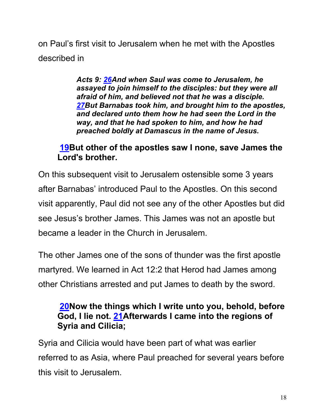on Paul's first visit to Jerusalem when he met with the Apostles described in

> *Acts 9: 26And when Saul was come to Jerusalem, he assayed to join himself to the disciples: but they were all afraid of him, and believed not that he was a disciple. 27But Barnabas took him, and brought him to the apostles, and declared unto them how he had seen the Lord in the way, and that he had spoken to him, and how he had preached boldly at Damascus in the name of Jesus.*

## **19But other of the apostles saw I none, save James the Lord's brother.**

On this subsequent visit to Jerusalem ostensible some 3 years after Barnabas' introduced Paul to the Apostles. On this second visit apparently, Paul did not see any of the other Apostles but did see Jesus's brother James. This James was not an apostle but became a leader in the Church in Jerusalem.

The other James one of the sons of thunder was the first apostle martyred. We learned in Act 12:2 that Herod had James among other Christians arrested and put James to death by the sword.

## **20Now the things which I write unto you, behold, before God, I lie not. 21Afterwards I came into the regions of Syria and Cilicia;**

Syria and Cilicia would have been part of what was earlier referred to as Asia, where Paul preached for several years before this visit to Jerusalem.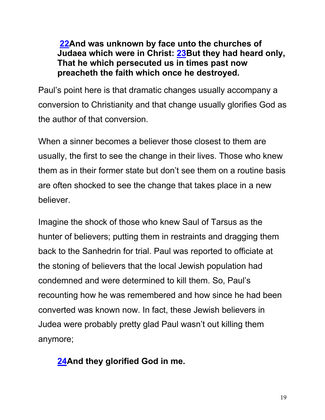**22And was unknown by face unto the churches of Judaea which were in Christ: 23But they had heard only, That he which persecuted us in times past now preacheth the faith which once he destroyed.** 

Paul's point here is that dramatic changes usually accompany a conversion to Christianity and that change usually glorifies God as the author of that conversion.

When a sinner becomes a believer those closest to them are usually, the first to see the change in their lives. Those who knew them as in their former state but don't see them on a routine basis are often shocked to see the change that takes place in a new believer.

Imagine the shock of those who knew Saul of Tarsus as the hunter of believers; putting them in restraints and dragging them back to the Sanhedrin for trial. Paul was reported to officiate at the stoning of believers that the local Jewish population had condemned and were determined to kill them. So, Paul's recounting how he was remembered and how since he had been converted was known now. In fact, these Jewish believers in Judea were probably pretty glad Paul wasn't out killing them anymore;

# **24And they glorified God in me.**